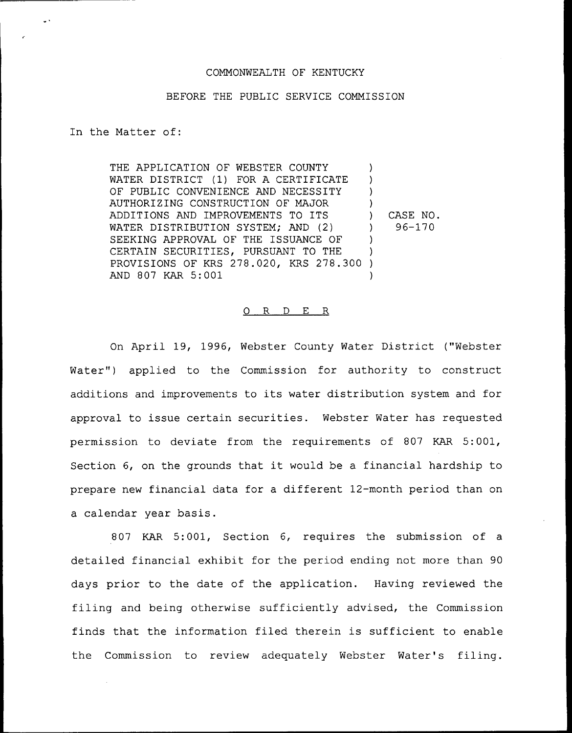## COMMONWEALTH OF KENTUCKY

## BEFORE THE PUBLIC SERVICE COMMISSION

In the Matter of:

THE APPLICATION OF WEBSTER COUNTY WATER DISTRICT (1) FOR A CERTIFICATE OF PUBLIC CONVENIENCE AND NECESSITY AUTHORIZING CONSTRUCTION OF MAJOR ADDITIONS AND IMPROVEMENTS TO ITS WATER DISTRIBUTIQN SYSTEM; AND (2) SEEKING APPROVAL OF THE ISSUANCE OF CERTAIN SECURITIES, PURSUANT TO THE PROVISIONS OF KRS 278.020, KRS 278.300 ) AND 807 KAR 5:001 ) )  $\lambda$ ) ) CASE NO.  $)$  96-170 ) ) )

## 0 R <sup>D</sup> E R

On April 19, 1996, Webster County Water District ("Webster Water") applied to the Commission for authority to construct additions and improvements to its water distribution system and for approval to issue certain securities. Webster Water has requested permission to deviate from the requirements of 807 KAR 5:001, Section 6, on the grounds that it would be <sup>a</sup> financial hardship to prepare new financial data for a different 12-month period than on a calendar year basis.

807 KAR 5:001, Section 6, requires the submission of a detailed financial exhibit for the period ending not more than 90 days prior to the date of the application. Having reviewed the filing and being otherwise sufficiently advised, the Commission finds that the information filed therein is sufficient to enable the Commission to review adequately Webster Water's filing.